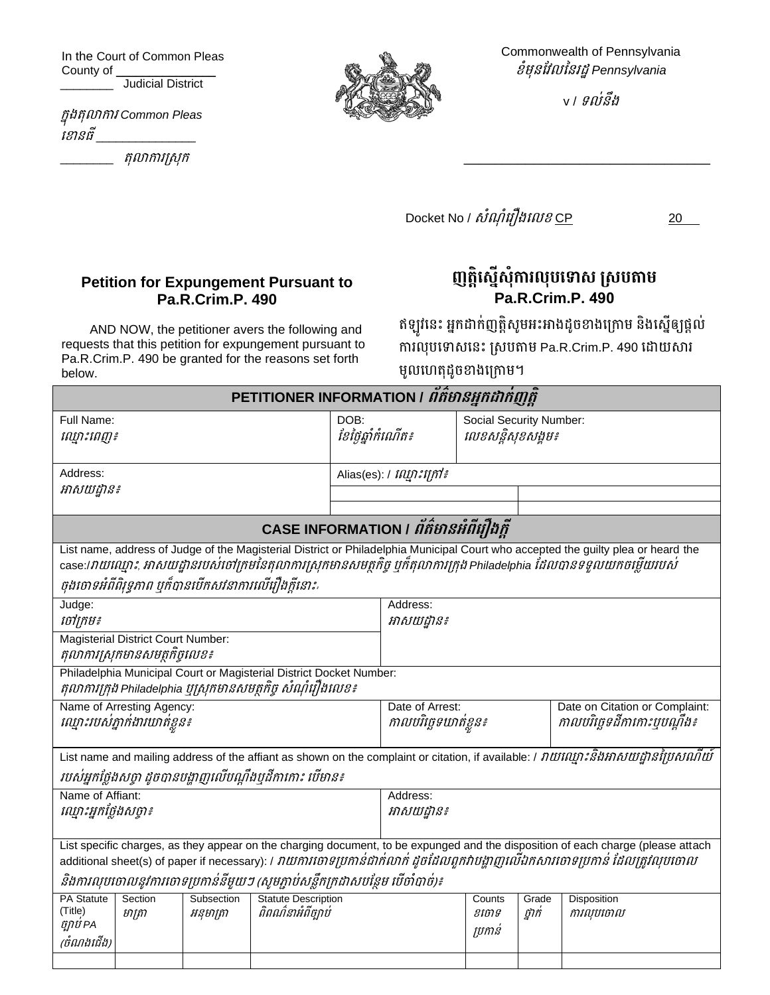In the Court of Common Pleas County of \_\_\_\_\_

**Fig.** Judicial District

ក្នុងតុលាការ *Common Pleas*  ខ ានធី \_\_\_\_\_\_\_\_\_\_\_\_\_\_\_

\_\_\_\_\_\_\_\_ តុលាការស្រុក្



Commonwealth of Pennsylvania ខំមុនវែលននរដ្ឋ*Pennsylvania*

v / ទល់នឹង

\_\_\_\_\_\_\_\_\_\_\_\_\_\_\_\_\_\_\_\_\_\_\_\_\_\_\_\_\_\_\_\_

 $Docket$  No /  $\delta i$ ណ  $\delta i$ រឿងលេខ CP 20

## **Petition for Expungement Pursuant to Pa.R.Crim.P. 490**

AND NOW, the petitioner avers the following and requests that this petition for expungement pursuant to Pa.R.Crim.P. 490 be granted for the reasons set forth below.

ញត្តស្នេសុការលុបទោស ស្របតាម **Pa.R.Crim.P. 490**

ឥឡូវនេះ អ្នកដាក់ញត្តិសូមអះអាងដូចខាងក្រោម និងស្នើឲ្យផ្ដល់ ការលុបទោសនេះ ស្របតាម Pa.R.Crim.P. 490 ដោយសារ មូលហេតុដូចខាងក្រោម។

| PETITIONER INFORMATION / ព័ត៌មានអ្នកដាក់ញត្តិ                                                                                                                                                                                                                |                   |                         |                                                 |            |                                              |                            |                 |                                                               |  |
|--------------------------------------------------------------------------------------------------------------------------------------------------------------------------------------------------------------------------------------------------------------|-------------------|-------------------------|-------------------------------------------------|------------|----------------------------------------------|----------------------------|-----------------|---------------------------------------------------------------|--|
| Full Name:<br>រឈ្មាះពេញ៖                                                                                                                                                                                                                                     |                   |                         | DOB:<br>ខែថ្ងៃឆ្នាំកំណើត៖                       |            | Social Security Number:<br>លេខសន្តិសុខសង្គម៖ |                            |                 |                                                               |  |
| Address:                                                                                                                                                                                                                                                     |                   |                         | Alias(es): / <i>ល្មោះក្រៅ៖</i>                  |            |                                              |                            |                 |                                                               |  |
| អាសយដ្ឋាន៖                                                                                                                                                                                                                                                   |                   |                         |                                                 |            |                                              |                            |                 |                                                               |  |
|                                                                                                                                                                                                                                                              |                   |                         |                                                 |            |                                              |                            |                 |                                                               |  |
| CASE INFORMATION / <i>ព័ត៌មានអំពីរឿងក្តី</i>                                                                                                                                                                                                                 |                   |                         |                                                 |            |                                              |                            |                 |                                                               |  |
| List name, address of Judge of the Magisterial District or Philadelphia Municipal Court who accepted the guilty plea or heard the<br>case:/វាយឈ្មោះ, អាសយដ្ឋានរបស់់ចៅក្រមនៃតុលាការស្រុកមានសមត្ថកិច្ច ឬក៏តុលាការក្រុង Philadelphia ដែលបានទទួលយកចម្លើយរបស់     |                   |                         |                                                 |            |                                              |                            |                 |                                                               |  |
| ចុងចោទអំពីពិរុទ្ធភាព បុក៏បានបើកសវនាការលើរឿងក្តីនោះ                                                                                                                                                                                                           |                   |                         |                                                 |            |                                              |                            |                 |                                                               |  |
| Judge:                                                                                                                                                                                                                                                       |                   |                         |                                                 |            | Address:                                     |                            |                 |                                                               |  |
| ថៅក្រម៖                                                                                                                                                                                                                                                      |                   |                         |                                                 | អាសយដ្ឋាន៖ |                                              |                            |                 |                                                               |  |
| <b>Magisterial District Court Number:</b><br>តុលាការស្រុកមានសមត្ថកិច្ចលេខ៖                                                                                                                                                                                   |                   |                         |                                                 |            |                                              |                            |                 |                                                               |  |
| Philadelphia Municipal Court or Magisterial District Docket Number:                                                                                                                                                                                          |                   |                         |                                                 |            |                                              |                            |                 |                                                               |  |
| តុលាការក្រុង Philadelphia បុស្រុកមានសមត្ថកិច្ច សំណុំរឿងលេខ៖                                                                                                                                                                                                  |                   |                         |                                                 |            |                                              |                            |                 |                                                               |  |
| Name of Arresting Agency:<br>ឈ្មោះរបស់គ្នាក់ងារឃាត់ខ្លួន៖                                                                                                                                                                                                    |                   |                         |                                                 |            | Date of Arrest:<br>កាលបរិច្ឆេទឃាត់ខ្លួន៖     |                            |                 | Date on Citation or Complaint:<br>កាលបរិច្ឆេទដីកាកោះបុបណ្តឹង៖ |  |
| List name and mailing address of the affiant as shown on the complaint or citation, if available: / <i>វាយណ្មោះនិងអាសយដ្ឋានប្រៃសណីយ៍</i><br>របស់អ្នកថ្លែងសច្ចា ដូចបានបង្ហាញលើបណ្តឹងបុដីកាកោះ បើមាន៖                                                          |                   |                         |                                                 |            |                                              |                            |                 |                                                               |  |
| Name of Affiant:                                                                                                                                                                                                                                             |                   |                         |                                                 | Address:   |                                              |                            |                 |                                                               |  |
| ណ្មោះអ្នកថ្លែងសប្តា៖                                                                                                                                                                                                                                         |                   |                         |                                                 | អាសយដ្ឋាន៖ |                                              |                            |                 |                                                               |  |
| List specific charges, as they appear on the charging document, to be expunged and the disposition of each charge (please attach<br>additional sheet(s) of paper if necessary): / វាយការចោទប្រកាន់ជាក់លាក់ ដូចដែលពួកវាបង្ហាញលើឯកសារចោទប្រកាន់ ដែលត្រូវលុបចោល |                   |                         |                                                 |            |                                              |                            |                 |                                                               |  |
| និងការលុបចោលនូវការចោទប្រកាន់នីមួយៗ (សូមភ្ជាប់សន្លឹកក្រដាសបន្ថែម បើចាំបាច់)៖                                                                                                                                                                                  |                   |                         |                                                 |            |                                              |                            |                 |                                                               |  |
| <b>PA Statute</b><br>(Title)<br>ច្បាប់ PA<br>(ចំណងជើង)                                                                                                                                                                                                       | Section<br>មាត្រា | Subsection<br>អនុមាត្រា | <b>Statute Description</b><br>ពិពណ៌នាអំពីច្បាប់ |            |                                              | Counts<br>ខរចាទ<br>ប្រកាន់ | Grade<br>ថ្នាក់ | Disposition<br>ការលុបចោល                                      |  |
|                                                                                                                                                                                                                                                              |                   |                         |                                                 |            |                                              |                            |                 |                                                               |  |